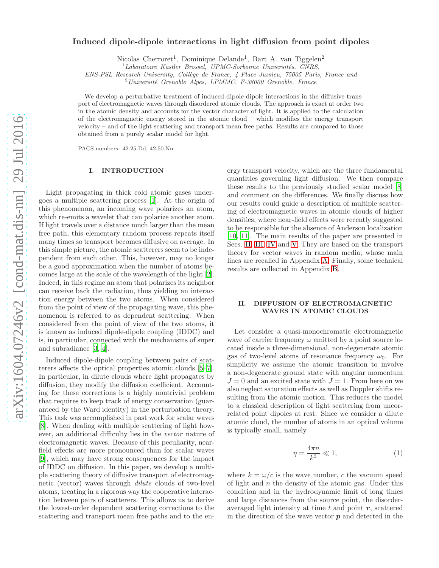# Induced dipole-dipole interactions in light diffusion from point dipoles

Nicolas Cherroret<sup>1</sup>, Dominique Delande<sup>1</sup>, Bart A. van Tiggelen<sup>2</sup>

 $1$ Laboratoire Kastler Brossel, UPMC-Sorbonne Universités, CNRS,

ENS-PSL Research University, Collège de France; 4 Place Jussieu, 75005 Paris, France and

 $^{2}$ Université Grenoble Alpes, LPMMC, F-38000 Grenoble, France

We develop a perturbative treatment of induced dipole-dipole interactions in the diffusive transport of electromagnetic waves through disordered atomic clouds. The approach is exact at order two in the atomic density and accounts for the vector character of light. It is applied to the calculation of the electromagnetic energy stored in the atomic cloud – which modifies the energy transport velocity – and of the light scattering and transport mean free paths. Results are compared to those obtained from a purely scalar model for light.

PACS numbers: 42.25.Dd, 42.50.Nn

# I. INTRODUCTION

Light propagating in thick cold atomic gases undergoes a multiple scattering process [\[1](#page-11-0)]. At the origin of this phenomenon, an incoming wave polarizes an atom, which re-emits a wavelet that can polarize another atom. If light travels over a distance much larger than the mean free path, this elementary random process repeats itself many times so transport becomes diffusive on average. In this simple picture, the atomic scatterers seem to be independent from each other. This, however, may no longer be a good approximation when the number of atoms becomes large at the scale of the wavelength of the light [\[2\]](#page-11-1). Indeed, in this regime an atom that polarizes its neighbor can receive back the radiation, thus yielding an interaction energy between the two atoms. When considered from the point of view of the propagating wave, this phenomenon is referred to as dependent scattering. When considered from the point of view of the two atoms, it is known as induced dipole-dipole coupling (IDDC) and is, in particular, connected with the mechanisms of super and subradiance [\[3,](#page-11-2) [4](#page-11-3)].

Induced dipole-dipole coupling between pairs of scatterers affects the optical properties atomic clouds [\[5](#page-11-4)[–7\]](#page-11-5). In particular, in dilute clouds where light propagates by diffusion, they modify the diffusion coefficient. Accounting for these corrections is a highly nontrivial problem that requires to keep track of energy conservation (guaranteed by the Ward identity) in the perturbation theory. This task was accomplished in past work for scalar waves [\[8\]](#page-11-6). When dealing with multiple scattering of light however, an additional difficulty lies in the vector nature of electromagnetic waves. Because of this peculiarity, nearfield effects are more pronounced than for scalar waves [\[9\]](#page-11-7), which may have strong consequences for the impact of IDDC on diffusion. In this paper, we develop a multiple scattering theory of diffusive transport of electromagnetic (vector) waves through dilute clouds of two-level atoms, treating in a rigorous way the cooperative interaction between pairs of scatterers. This allows us to derive the lowest-order dependent scattering corrections to the scattering and transport mean free paths and to the en-

ergy transport velocity, which are the three fundamental quantities governing light diffusion. We then compare these results to the previously studied scalar model [\[8](#page-11-6)] and comment on the differences. We finally discuss how our results could guide a description of multiple scattering of electromagnetic waves in atomic clouds of higher densities, where near-field effects were recently suggested to be responsible for the absence of Anderson localization [\[10,](#page-11-8) [11](#page-11-9)]. The main results of the paper are presented in Secs. [II,](#page-0-0) [III,](#page-1-0) [IV](#page-4-0) and [V.](#page-5-0) They are based on the transport theory for vector waves in random media, whose main lines are recalled in Appendix [A.](#page-7-0) Finally, some technical results are collected in Appendix [B.](#page-11-10)

# <span id="page-0-0"></span>II. DIFFUSION OF ELECTROMAGNETIC WAVES IN ATOMIC CLOUDS

Let consider a quasi-monochromatic electromagnetic wave of carrier frequency  $\omega$  emitted by a point source located inside a three-dimensional, non-degenerate atomic gas of two-level atoms of resonance frequency  $\omega_0$ . For simplicity we assume the atomic transition to involve a non-degenerate ground state with angular momentum  $J = 0$  and an excited state with  $J = 1$ . From here on we also neglect saturation effects as well as Doppler shifts resulting from the atomic motion. This reduces the model to a classical description of light scattering from uncorrelated point dipoles at rest. Since we consider a dilute atomic cloud, the number of atoms in an optical volume is typically small, namely

<span id="page-0-1"></span>
$$
\eta = \frac{4\pi n}{k^3} \ll 1,\tag{1}
$$

where  $k = \omega/c$  is the wave number, c the vacuum speed of light and  $n$  the density of the atomic gas. Under this condition and in the hydrodynamic limit of long times and large distances from the source point, the disorderaveraged light intensity at time  $t$  and point  $r$ , scattered in the direction of the wave vector  $p$  and detected in the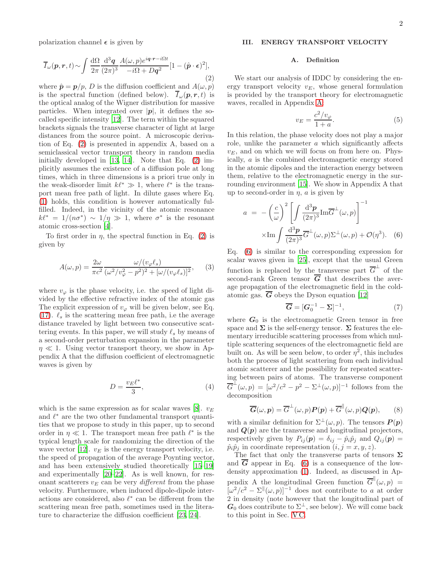polarization channel  $\epsilon$  is given by

<span id="page-1-1"></span>
$$
\overline{I}_{\omega}(p,r,t) \sim \int \frac{d\Omega}{2\pi} \frac{d^3q}{(2\pi)^3} \frac{A(\omega, p)e^{iq \cdot r - i\Omega t}}{-i\Omega + Dq^2} [1 - (\hat{p} \cdot \epsilon)^2],\tag{2}
$$

where  $\hat{\boldsymbol{p}} = \boldsymbol{p}/p$ , *D* is the diffusion coefficient and  $A(\omega, p)$ is the spectral function (defined below).  $\overline{I}_{\omega}(\boldsymbol{p},\boldsymbol{r},t)$  is the optical analog of the Wigner distribution for massive particles. When integrated over  $|p|$ , it defines the socalled specific intensity [\[12\]](#page-11-11). The term within the squared brackets signals the transverse character of light at large distances from the source point. A microscopic derivation of Eq. [\(2\)](#page-1-1) is presented in appendix A, based on a semiclassical vector transport theory in random media initially developed in [\[13](#page-12-0), [14\]](#page-12-1). Note that Eq. [\(2\)](#page-1-1) implicitly assumes the existence of a diffusion pole at long times, which in three dimensions is a priori true only in the weak-disorder limit  $k\ell^* \gg 1$ , where  $\ell^*$  is the transport mean free path of light. In dilute gases where Eq. [\(1\)](#page-0-1) holds, this condition is however automatically fulfilled. Indeed, in the vicinity of the atomic resonance  $k\ell^* = 1/(n\sigma^*) \sim 1/\eta \gg 1$ , where  $\sigma^*$  is the resonant atomic cross-section [\[4](#page-11-3)].

To first order in  $\eta$ , the spectral function in Eq. [\(2\)](#page-1-1) is given by

<span id="page-1-6"></span>
$$
A(\omega, p) = \frac{2\omega}{\pi c^2} \frac{\omega/(v_{\varphi}\ell_s)}{(\omega^2/v_{\varphi}^2 - p^2)^2 + [\omega/(v_{\varphi}\ell_s)]^2},
$$
 (3)

where  $v_{\varphi}$  is the phase velocity, i.e. the speed of light divided by the effective refractive index of the atomic gas The explicit expression of  $v_{\varphi}$  will be given below, see Eq. [\(17\)](#page-3-0).  $\ell_s$  is the scattering mean free path, i.e the average distance traveled by light between two consecutive scattering events. In this paper, we will study  $\ell_s$  by means of a second-order perturbation expansion in the parameter  $\eta \ll 1$ . Using vector transport theory, we show in Appendix A that the diffusion coefficient of electromagnetic waves is given by

<span id="page-1-5"></span>
$$
D = \frac{v_E \ell^*}{3},\tag{4}
$$

which is the same expression as for scalar waves [\[8\]](#page-11-6).  $v_E$ and  $\ell^*$  are the two other fundamental transport quantities that we propose to study in this paper, up to second order in  $\eta \ll 1$ . The transport mean free path  $\ell^*$  is the typical length scale for randomizing the direction of the wave vector [\[12\]](#page-11-11).  $v_E$  is the energy transport velocity, i.e. the speed of propagation of the average Poynting vector, and has been extensively studied theoretically [\[15](#page-12-2)[–19\]](#page-12-3) and experimentally [\[20](#page-12-4)[–22\]](#page-12-5). As is well known, for resonant scatterers  $v_F$  can be very *different* from the phase velocity. Furthermore, when induced dipole-dipole interactions are considered, also  $\ell^*$  can be different from the scattering mean free path, sometimes used in the literature to characterize the diffusion coefficient [\[23,](#page-12-6) [24\]](#page-12-7).

# <span id="page-1-0"></span>III. ENERGY TRANSPORT VELOCITY

### A. Definition

We start our analysis of IDDC by considering the energy transport velocity  $v_E$ , whose general formulation is provided by the transport theory for electromagnetic waves, recalled in Appendix [A:](#page-7-0)

<span id="page-1-4"></span>
$$
v_E = \frac{c^2/v_\varphi}{1+a}.\tag{5}
$$

In this relation, the phase velocity does not play a major role, unlike the parameter a which significantly affects  $v_F$ , and on which we will focus on from here on. Physically, a is the combined electromagnetic energy stored in the atomic dipoles and the interaction energy between them, relative to the electromagnetic energy in the surrounding environment [\[15\]](#page-12-2). We show in Appendix A that up to second-order in  $\eta$ , a is given by

<span id="page-1-2"></span>
$$
a = -\left(\frac{c}{\omega}\right)^2 \left[ \int \frac{d^3 p}{(2\pi)^3} \mathrm{Im}\overline{G}^{\perp}(\omega, p) \right]^{-1}
$$

$$
\times \mathrm{Im} \int \frac{d^3 p}{(2\pi)^3} \overline{G}^{\perp}(\omega, p) \Sigma^{\perp}(\omega, p) + \mathcal{O}(\eta^3). \quad (6)
$$

Eq. [\(6\)](#page-1-2) is similar to the corresponding expression for scalar waves given in [\[25](#page-12-8)], except that the usual Green function is replaced by the transverse part  $\overline{G}^{\perp}$  of the second-rank Green tensor  $\overline{G}$  that describes the average propagation of the electromagnetic field in the coldatomic gas.  $\overline{G}$  obeys the Dyson equation [\[12\]](#page-11-11)

<span id="page-1-3"></span>
$$
\overline{G} = [G_0^{-1} - \Sigma]^{-1},\tag{7}
$$

where  $G_0$  is the electromagnetic Green tensor in free space and  $\Sigma$  is the self-energy tensor.  $\Sigma$  features the elementary irreducible scattering processes from which multiple scattering sequences of the electromagnetic field are built on. As will be seen below, to order  $\eta^2$ , this includes both the process of light scattering from each individual atomic scatterer and the possibility for repeated scattering between pairs of atoms. The transverse component  $\overline{G}^{\perp}(\omega, p) = [\omega^2/c^2 - p^2 - \Sigma^{\perp}(\omega, p)]^{-1}$  follows from the decomposition

$$
\overline{G}(\omega, p) = \overline{G}^{\perp}(\omega, p) P(p) + \overline{G}^{\parallel}(\omega, p) Q(p), \qquad (8)
$$

with a similar definition for  $\Sigma^{\perp}(\omega, p)$ . The tensors  $P(p)$ and  $Q(p)$  are the transverse and longitudinal projectors, respectively given by  $P_{ij}(\mathbf{p}) = \delta_{ij} - \hat{p}_i \hat{p}_j$  and  $Q_{ij}(\mathbf{p}) =$  $\hat{p}_i \hat{p}_j$  in coordinate representation  $(i, j = x, y, z)$ .

The fact that only the transverse parts of tensors  $\Sigma$ and  $\overline{G}$  appear in Eq. [\(6\)](#page-1-2) is a consequence of the lowdensity approximation [\(1\)](#page-0-1). Indeed, as discussed in Appendix A the longitudinal Green function  $\overline{G}^{\parallel}(\omega, p)$  =  $[\omega^2/c^2 - \Sigma^{\parallel}(\omega, p)]^{-1}$  does not contribute to a at order 2 in density (note however that the longitudinal part of  $G_0$  does contribute to  $\Sigma^{\perp}$ , see below). We will come back to this point in Sec. VC.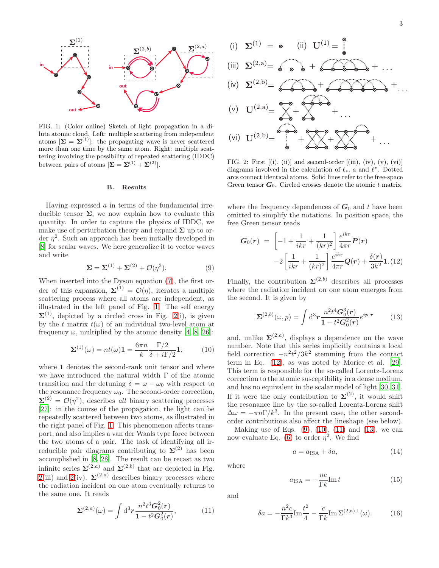

<span id="page-2-0"></span>FIG. 1: (Color online) Sketch of light propagation in a dilute atomic cloud. Left: multiple scattering from independent atoms  $[\Sigma = \Sigma^{(1)}]$ : the propagating wave is never scattered more than one time by the same atom. Right: multiple scattering involving the possibility of repeated scattering (IDDC) between pairs of atoms  $[\Sigma = \Sigma^{(1)} + \Sigma^{(2)}]$ .

### B. Results

Having expressed  $\alpha$  in terms of the fundamental irreducible tensor  $\Sigma$ , we now explain how to evaluate this quantity. In order to capture the physics of IDDC, we make use of perturbation theory and expand  $\Sigma$  up to order  $\eta^2$ . Such an approach has been initially developed in [\[8\]](#page-11-6) for scalar waves. We here generalize it to vector waves and write

<span id="page-2-3"></span>
$$
\Sigma = \Sigma^{(1)} + \Sigma^{(2)} + \mathcal{O}(\eta^3). \tag{9}
$$

When inserted into the Dyson equation [\(7\)](#page-1-3), the first order of this expansion,  $\Sigma^{(1)} = \mathcal{O}(\eta)$ , iterates a multiple scattering process where all atoms are independent, as illustrated in the left panel of Fig. [1.](#page-2-0) The self energy  $\Sigma^{(1)}$ , depicted by a circled cross in Fig. [2\(](#page-2-1)i), is given by the t matrix  $t(\omega)$  of an individual two-level atom at frequency  $\omega$ , multiplied by the atomic density [\[4,](#page-11-3) [8,](#page-11-6) [26\]](#page-12-9):

<span id="page-2-4"></span>
$$
\Sigma^{(1)}(\omega) = nt(\omega)\mathbf{1} = \frac{6\pi n}{k} \frac{\Gamma/2}{\delta + i\Gamma/2} \mathbf{1},\qquad(10)
$$

where 1 denotes the second-rank unit tensor and where we have introduced the natural width Γ of the atomic transition and the detuning  $\delta = \omega - \omega_0$  with respect to the resonance frequency  $\omega_0$ . The second-order correction,  $\Sigma^{(2)} = \mathcal{O}(\eta^2)$ , describes all binary scattering processes [\[27\]](#page-12-10): in the course of the propagation, the light can be repeatedly scattered between two atoms, as illustrated in the right panel of Fig. [1.](#page-2-0) This phenomenon affects transport, and also implies a van der Waals type force between the two atoms of a pair. The task of identifying all irreducible pair diagrams contributing to  $\Sigma^{(2)}$  has been accomplished in [\[8,](#page-11-6) [28\]](#page-12-11). The result can be recast as two infinite series  $\Sigma^{(2,a)}$  and  $\Sigma^{(2,b)}$  that are depicted in Fig.  $2(iii)$  $2(iii)$  and  $2(iv)$ .  $\Sigma^{(2,a)}$  describes binary processes where the radiation incident on one atom eventually returns to the same one. It reads

<span id="page-2-5"></span>
$$
\Sigma^{(2,a)}(\omega) = \int d^3r \frac{n^2 t^3 G_0^2(r)}{1 - t^2 G_0^2(r)},
$$
(11)

(i) (ii) (iii) (iv) (v) (vi)

<span id="page-2-1"></span>FIG. 2: First  $[(i), (ii)]$  and second-order  $[(iii), (iv), (v), (vi)]$ diagrams involved in the calculation of  $\ell_s$ , a and  $\ell^*$ . Dotted arcs connect identical atoms. Solid lines refer to the free-space Green tensor  $G_0$ . Circled crosses denote the atomic t matrix.

where the frequency dependences of  $G_0$  and t have been omitted to simplify the notations. In position space, the free Green tensor reads

<span id="page-2-2"></span>
$$
G_0(r) = \left[ -1 + \frac{1}{ikr} + \frac{1}{(kr)^2} \right] \frac{e^{ikr}}{4\pi r} P(r)
$$

$$
-2 \left[ \frac{1}{ikr} + \frac{1}{(kr)^2} \right] \frac{e^{ikr}}{4\pi r} Q(r) + \frac{\delta(r)}{3k^2} \mathbf{1}. (12)
$$

Finally, the contribution  $\Sigma^{(2,b)}$  describes all processes where the radiation incident on one atom emerges from the second. It is given by

<span id="page-2-6"></span>
$$
\Sigma^{(2,b)}(\omega,p) = \int d^3r \frac{n^2 t^4 G_0^3(r)}{1 - t^2 G_0^2(r)} e^{ip \cdot r}
$$
 (13)

and, unlike  $\Sigma^{(2,a)}$ , displays a dependence on the wave number. Note that this series implicitly contains a local field correction  $-n^2t^2/3k^2$  stemming from the contact term in Eq. [\(12\)](#page-2-2), as was noted by Morice et al. [\[29\]](#page-12-12). This term is responsible for the so-called Lorentz-Lorenz correction to the atomic susceptibility in a dense medium, and has no equivalent in the scalar model of light [\[30](#page-12-13), [31\]](#page-12-14). If it were the only contribution to  $\Sigma^{(2)}$ , it would shift the resonance line by the so-called Lorentz-Lorenz shift  $\Delta \omega = -\pi n \Gamma / k^3$ . In the present case, the other secondorder contributions also affect the lineshape (see below).

Making use of Eqs.  $(9)$ ,  $(10)$ ,  $(11)$  and  $(13)$ , we can now evaluate Eq. [\(6\)](#page-1-2) to order  $\eta^2$ . We find

<span id="page-2-8"></span>
$$
a = a_{\text{ISA}} + \delta a,\tag{14}
$$

where

<span id="page-2-9"></span>
$$
a_{\text{ISA}} = -\frac{nc}{\Gamma k} \text{Im} \, t \tag{15}
$$

and

<span id="page-2-7"></span>
$$
\delta a = -\frac{n^2 c}{\Gamma k^3} \text{Im} \frac{t^2}{4} - \frac{c}{\Gamma k} \text{Im} \,\Sigma^{(2,\text{a})\perp}(\omega). \tag{16}
$$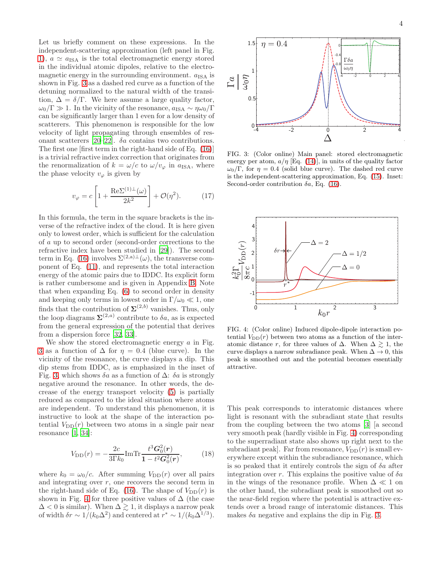Let us briefly comment on these expressions. In the independent-scattering approximation (left panel in Fig. [1\)](#page-2-0),  $a \simeq a_{\text{ISA}}$  is the total electromagnetic energy stored in the individual atomic dipoles, relative to the electromagnetic energy in the surrounding environment.  $a_{\text{ISA}}$  is shown in Fig. [3](#page-3-1) as a dashed red curve as a function of the detuning normalized to the natural width of the transition,  $\Delta = \delta/\Gamma$ . We here assume a large quality factor,  $\omega_0/\Gamma \gg 1$ . In the vicinity of the resonance,  $a_{\text{ISA}} \sim \eta \omega_0/\Gamma$ can be significantly larger than 1 even for a low density of scatterers. This phenomenon is responsible for the low velocity of light propagating through ensembles of res-onant scatterers [\[20](#page-12-4)[–22\]](#page-12-5).  $\delta a$  contains two contributions. The first one [first term in the right-hand side of Eq. [\(16\)](#page-2-7)] is a trivial refractive index correction that originates from the renormalization of  $k = \omega/c$  to  $\omega/v_\varphi$  in  $a_{\text{ISA}}$ , where the phase velocity  $v_{\varphi}$  is given by

<span id="page-3-0"></span>
$$
v_{\varphi} = c \left[ 1 + \frac{\text{Re}\Sigma^{(1)}(\omega)}{2k^2} \right] + \mathcal{O}(\eta^2). \tag{17}
$$

In this formula, the term in the square brackets is the inverse of the refractive index of the cloud. It is here given only to lowest order, which is sufficient for the calculation of a up to second order (second-order corrections to the refractive index have been studied in [\[29\]](#page-12-12)). The second term in Eq. [\(16\)](#page-2-7) involves  $\Sigma^{(2,a)\perp}(\omega)$ , the transverse component of Eq. [\(11\)](#page-2-5), and represents the total interaction energy of the atomic pairs due to IDDC. Its explicit form is rather cumbersome and is given in Appendix [B.](#page-11-10) Note that when expanding Eq. [\(6\)](#page-1-2) to second order in density and keeping only terms in lowest order in  $\Gamma/\omega_0 \ll 1$ , one finds that the contribution of  $\Sigma^{(2,b)}$  vanishes. Thus, only the loop diagrams  $\Sigma^{(2,a)}$  contribute to  $\delta a$ , as is expected from the general expression of the potential that derives from a dispersion force [\[32,](#page-12-15) [33\]](#page-12-16).

We show the stored electromagnetic energy  $a$  in Fig. [3](#page-3-1) as a function of  $\Delta$  for  $\eta = 0.4$  (blue curve). In the vicinity of the resonance, the curve displays a dip. This dip stems from IDDC, as is emphasized in the inset of Fig. [3,](#page-3-1) which shows  $\delta a$  as a function of  $\Delta$ :  $\delta a$  is strongly negative around the resonance. In other words, the decrease of the energy transport velocity [\(5\)](#page-1-4) is partially reduced as compared to the ideal situation where atoms are independent. To understand this phenomenon, it is instructive to look at the shape of the interaction potential  $V_{\text{DD}}(r)$  between two atoms in a single pair near resonance [\[1](#page-11-0), [34](#page-12-17)]:

$$
V_{\rm DD}(r) = -\frac{2c}{3\Gamma k_0} \text{Im} \text{Tr} \frac{t^3 \mathbf{G}_0^2(\mathbf{r})}{1 - t^2 \mathbf{G}_0^2(\mathbf{r})},\tag{18}
$$

where  $k_0 = \omega_0/c$ . After summing  $V_{\text{DD}}(r)$  over all pairs and integrating over  $r$ , one recovers the second term in the right-hand side of Eq. [\(16\)](#page-2-7). The shape of  $V_{\text{DD}}(r)$  is shown in Fig. [4](#page-3-2) for three positive values of  $\Delta$  (the case  $\Delta$  < 0 is similar). When  $\Delta \gtrsim 1$ , it displays a narrow peak of width  $\delta r \sim 1/(k_0 \Delta^2)$  and centered at  $r^* \sim 1/(k_0 \Delta^{1/3})$ .



<span id="page-3-1"></span>FIG. 3: (Color online) Main panel: stored electromagnetic energy per atom,  $a/\eta$  [Eq. [\(14\)](#page-2-8)], in units of the quality factor  $\omega_0/\Gamma$ , for  $\eta = 0.4$  (solid blue curve). The dashed red curve is the independent-scattering approximation, Eq. [\(15\)](#page-2-9). Inset: Second-order contribution  $\delta a$ , Eq. [\(16\)](#page-2-7).



<span id="page-3-2"></span>FIG. 4: (Color online) Induced dipole-dipole interaction potential  $V_{\text{DD}}(r)$  between two atoms as a function of the interatomic distance r, for three values of  $\Delta$ . When  $\Delta \gtrsim 1$ , the curve displays a narrow subradiance peak. When  $\Delta \to 0$ , this peak is smoothed out and the potential becomes essentially attractive.

This peak corresponds to interatomic distances where light is resonant with the subradiant state that results from the coupling between the two atoms [\[3\]](#page-11-2) [a second very smooth peak (hardly visible in Fig. [4\)](#page-3-2) corresponding to the superradiant state also shows up right next to the subradiant peak]. Far from resonance,  $V_{\text{DD}}(r)$  is small everywhere except within the subradiance resonance, which is so peaked that it entirely controls the sign of  $\delta a$  after integration over r. This explains the positive value of  $\delta a$ in the wings of the resonance profile. When  $\Delta \ll 1$  on the other hand, the subradiant peak is smoothed out so the near-field region where the potential is attractive extends over a broad range of interatomic distances. This makes  $\delta a$  negative and explains the dip in Fig. [3.](#page-3-1)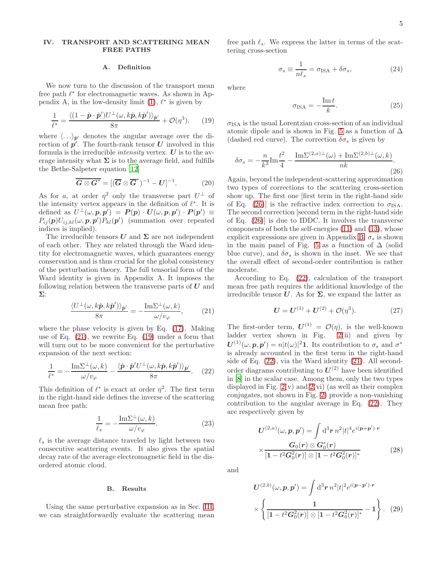# <span id="page-4-0"></span>IV. TRANSPORT AND SCATTERING MEAN FREE PATHS

# A. Definition

We now turn to the discussion of the transport mean free path  $\ell^*$  for electromagnetic waves. As shown in Appendix A, in the low-density limit  $(1)$ ,  $\ell^*$  is given by

<span id="page-4-2"></span>
$$
\frac{1}{\ell^*} = \frac{\langle (1 - \hat{\mathbf{p}} \cdot \hat{\mathbf{p}}')U^{\perp}(\omega, k\hat{\mathbf{p}}, k\hat{\mathbf{p}}') \rangle_{\hat{\mathbf{p}}'}}{8\pi} + \mathcal{O}(\eta^3). \tag{19}
$$

where  $\langle \ldots \rangle_{\hat{p}'}$  denotes the angular average over the direction of  $p'$ . The fourth-rank tensor U involved in this formula is the irreducible *intensity* vertex.  $\boldsymbol{U}$  is to the average intensity what  $\Sigma$  is to the average field, and fulfills the Bethe-Salpeter equation [\[12](#page-11-11)]

<span id="page-4-9"></span>
$$
\overline{G \otimes G^*} = [(\overline{G} \otimes \overline{G}^*)^{-1} - U]^{-1}.
$$
 (20)

As for a, at order  $\eta^2$  only the transverse part  $U^{\perp}$  of the intensity vertex appears in the definition of  $\ell^*$ . It is defined as  $U^{\perp}(\omega, p, p') = P(p) \cdot U(\omega, p, p') \cdot P(p') \equiv$  $P_{ij}(\boldsymbol{p})U_{ij,kl}(\omega,\boldsymbol{p},\boldsymbol{p}')P_{kl}(\boldsymbol{p}')$  (summation over repeated indices is implied).

The irreducible tensors  $U$  and  $\Sigma$  are not independent of each other. They are related through the Ward identity for electromagnetic waves, which guarantees energy conservation and is thus crucial for the global consistency of the perturbation theory. The full tensorial form of the Ward identity is given in Appendix A. It imposes the following relation between the transverse parts of  $U$  and Σ:

<span id="page-4-1"></span>
$$
\frac{\langle U^{\perp}(\omega,k\hat{p},k\hat{p}')\rangle_{\hat{p}'}}{8\pi} = -\frac{\mathrm{Im}\Sigma^{\perp}(\omega,k)}{\omega/v_{\varphi}},\qquad(21)
$$

where the phase velocity is given by Eq. [\(17\)](#page-3-0). Making use of Eq. [\(21\)](#page-4-1), we rewrite Eq. [\(19\)](#page-4-2) under a form that will turn out to be more convenient for the perturbative expansion of the next section:

<span id="page-4-4"></span>
$$
\frac{1}{\ell^*} = -\frac{\mathrm{Im}\Sigma^{\perp}(\omega,k)}{\omega/\upsilon_{\varphi}} - \frac{\langle \hat{\boldsymbol{p}}\cdot\hat{\boldsymbol{p}}'U^{\perp}(\omega,k\hat{\boldsymbol{p}},k\hat{\boldsymbol{p}}')\rangle_{\hat{\boldsymbol{p}}'}}{8\pi}.
$$
 (22)

This definition of  $\ell^*$  is exact at order  $\eta^2$ . The first term in the right-hand side defines the inverse of the scattering mean free path:

<span id="page-4-10"></span>
$$
\frac{1}{\ell_s} = -\frac{\mathrm{Im}\Sigma^{\perp}(\omega, k)}{\omega/v_{\varphi}}.\tag{23}
$$

 $\ell_s$  is the average distance traveled by light between two consecutive scattering events. It also gives the spatial decay rate of the average electromagnetic field in the disordered atomic cloud.

## B. Results

Using the same perturbative expansion as in Sec. [III,](#page-1-0) we can straightforwardly evaluate the scattering mean free path  $\ell_s$ . We express the latter in terms of the scattering cross-section

<span id="page-4-5"></span>
$$
\sigma_s \equiv \frac{1}{n\ell_s} = \sigma_{\text{ISA}} + \delta\sigma_s,\tag{24}
$$

where

<span id="page-4-6"></span>
$$
\sigma_{\text{ISA}} = -\frac{\text{Im} \, t}{k}.\tag{25}
$$

 $\sigma_{\text{ISA}}$  is the usual Lorentzian cross-section of an individual atomic dipole and is shown in Fig. [5](#page-5-1) as a function of  $\Delta$ (dashed red curve). The correction  $\delta \sigma_s$  is given by

<span id="page-4-3"></span>
$$
\delta \sigma_s = -\frac{n}{k^3} \text{Im} \frac{t^2}{4} - \frac{\text{Im} \Sigma^{(2,a)\perp}(\omega) + \text{Im} \Sigma^{(2,b)\perp}(\omega, k)}{nk}.
$$
\n(26)

Again, beyond the independent-scattering approximation two types of corrections to the scattering cross-section show up. The first one [first term in the right-hand side of Eq. [\(26\)](#page-4-3)] is the refractive index correction to  $\sigma_{\text{ISA}}$ . The second correction [second term in the right-hand side of Eq. [\(26\)](#page-4-3)] is due to IDDC. It involves the transverse components of both the self-energies [\(11\)](#page-2-5) and [\(13\)](#page-2-6), whose explicit expressions are given in Appendix [B.](#page-11-10)  $\sigma_s$  is shown in the main panel of Fig. [5](#page-5-1) as a function of  $\Delta$  (solid blue curve), and  $\delta \sigma_s$  is shown in the inset. We see that the overall effect of second-order contribution is rather moderate.

According to Eq. [\(22\)](#page-4-4), calculation of the transport mean free path requires the additional knowledge of the irreducible tensor  $U$ . As for  $\Sigma$ , we expand the latter as

$$
U = U^{(1)} + U^{(2)} + \mathcal{O}(\eta^3). \tag{27}
$$

The first-order term,  $U^{(1)} = \mathcal{O}(\eta)$ , is the well-known ladder vertex shown in Fig. [2\(](#page-2-1)ii) and given by  $U^{(1)}(\omega, p, p') = n|t(\omega)|^2$ 1. Its contribution to  $\sigma_s$  and  $\sigma^*$ is already accounted in the first term in the right-hand side of Eq. [\(22\)](#page-4-4), via the Ward identity [\(21\)](#page-4-1). All secondorder diagrams contributing to  $U^{(2)}$  have been identified in [\[8\]](#page-11-6) in the scalar case. Among them, only the two types displayed in Fig.  $2(v)$  $2(v)$  and  $2(vi)$  (as well as their complex conjugates, not shown in Fig. [2\)](#page-2-1) provide a non-vanishing contribution to the angular average in Eq. [\(22\)](#page-4-4). They are respectively given by

<span id="page-4-7"></span>
$$
U^{(2,a)}(\omega, p, p') = \int d^3r \, n^2 |t|^4 e^{i(p+p')\cdot r}
$$

$$
\times \frac{G_0(r) \otimes G_0^*(r)}{[1 - t^2 G_0^2(r)] \otimes [1 - t^2 G_0^2(r)]^*}
$$
(28)

and

<span id="page-4-8"></span>
$$
U^{(2,b)}(\omega, p, p') = \int d^3r \, n^2 |t|^2 e^{i(p-p')\cdot r}
$$

$$
\times \left\{ \frac{1}{\left[1 - t^2 G_0^2(r)\right] \otimes \left[1 - t^2 G_0^2(r)\right]^*} - 1 \right\}.
$$
 (29)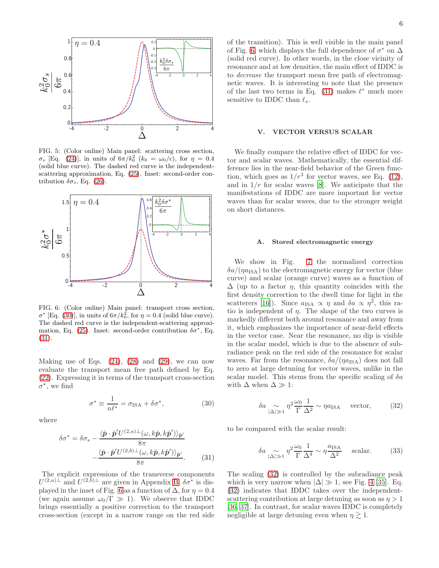

<span id="page-5-1"></span>FIG. 5: (Color online) Main panel: scattering cross section, σ<sub>s</sub> [Eq. [\(24\)](#page-4-5)], in units of  $6\pi/k_0^2$  ( $k_0 = \omega_0/c$ ), for  $η = 0.4$ (solid blue curve). The dashed red curve is the independentscattering approximation, Eq. [\(25\)](#page-4-6). Inset: second-order contribution  $\delta \sigma_s$ , Eq. [\(26\)](#page-4-3).



<span id="page-5-4"></span>FIG. 6: (Color online) Main panel: transport cross section,  $\sigma^*$  [Eq. [\(30\)](#page-5-2)], in units of  $6\pi/k_0^2$ , for  $\eta = 0.4$  (solid blue curve). The dashed red curve is the independent-scattering approxi-mation, Eq. [\(25\)](#page-4-6). Inset: second-order contribution  $\delta \sigma^*$ , Eq. [\(31\)](#page-5-3).

Making use of Eqs.  $(24)$ ,  $(28)$  and  $(29)$ , we can now evaluate the transport mean free path defined by Eq. [\(22\)](#page-4-4). Expressing it in terms of the transport cross-section  $\sigma^*$ , we find

<span id="page-5-2"></span>
$$
\sigma^* \equiv \frac{1}{n\ell^*} = \sigma_{\text{ISA}} + \delta \sigma^*,\tag{30}
$$

where

<span id="page-5-3"></span>
$$
\delta \sigma^* = \delta \sigma_s - \frac{\langle \hat{\mathbf{p}} \cdot \hat{\mathbf{p}}' U^{(2,a)} \rangle (\omega, k\hat{\mathbf{p}}, k\hat{\mathbf{p}}') \rangle_{\hat{\mathbf{p}}'}}{8\pi} - \frac{\langle \hat{\mathbf{p}} \cdot \hat{\mathbf{p}}' U^{(2,b)} \rangle (\omega, k\hat{\mathbf{p}}, k\hat{\mathbf{p}}') \rangle_{\hat{\mathbf{p}}'}}{8\pi}.
$$
(31)

The explicit expressions of the transverse components  $U^{(2,a)\perp}$  and  $U^{(2,b)\perp}$  are given in Appendix [B.](#page-11-10)  $\delta\sigma^*$  is dis-played in the inset of Fig. [6](#page-5-4) as a function of  $\Delta$ , for  $\eta = 0.4$ (we again assume  $\omega_0/\Gamma \gg 1$ ). We observe that IDDC brings essentially a positive correction to the transport cross-section (except in a narrow range on the red side of the transition). This is well visible in the main panel of Fig. [6,](#page-5-4) which displays the full dependence of  $\sigma^*$  on  $\Delta$ (solid red curve). In other words, in the close vicinity of resonance and at low densities, the main effect of IDDC is to decrease the transport mean free path of electromagnetic waves. It is interesting to note that the presence of the last two terms in Eq.  $(31)$  makes  $\ell^*$  much more sensitive to IDDC than  $\ell_s$ .

## <span id="page-5-0"></span>V. VECTOR VERSUS SCALAR

We finally compare the relative effect of IDDC for vector and scalar waves. Mathematically, the essential difference lies in the near-field behavior of the Green function, which goes as  $1/r^3$  for vector waves, see Eq. [\(12\)](#page-2-2), and in  $1/r$  for scalar waves [\[8\]](#page-11-6). We anticipate that the manifestations of IDDC are more important for vector waves than for scalar waves, due to the stronger weight on short distances.

### A. Stored electromagnetic energy

We show in Fig. [7](#page-6-1) the normalized correction  $\delta a/(\eta a_{\rm ISA})$  to the electromagnetic energy for vector (blue curve) and scalar (orange curve) waves as a function of  $\Delta$  (up to a factor  $\eta$ , this quantity coincides with the first density correction to the dwell time for light in the scatterers [\[16\]](#page-12-18)). Since  $a_{\text{ISA}} \propto \eta$  and  $\delta a \propto \eta^2$ , this ratio is independent of  $\eta$ . The shape of the two curves is markedly different both around resonance and away from it, which emphasizes the importance of near-field effects in the vector case. Near the resonance, no dip is visible in the scalar model, which is due to the absence of subradiance peak on the red side of the resonance for scalar waves. Far from the resonance,  $\delta a/(\eta a_{\rm{ISA}})$  does not fall to zero at large detuning for vector waves, unlike in the scalar model. This stems from the specific scaling of  $\delta a$ with  $\Delta$  when  $\Delta \gg 1$ :

<span id="page-5-5"></span>
$$
\delta a \underset{|\Delta| \gg 1}{\sim} \eta^2 \frac{\omega_0}{\Gamma} \frac{1}{\Delta^2} \sim \eta a_{\text{ISA}} \quad \text{vector}, \tag{32}
$$

to be compared with the scalar result:

$$
\delta a \underset{|\Delta| \gg 1}{\sim} \eta^2 \frac{\omega_0}{\Gamma} \frac{1}{\Delta^4} \sim \eta \frac{a_{\text{ISA}}}{\Delta^2} \quad \text{scalar.} \tag{33}
$$

The scaling [\(32\)](#page-5-5) is controlled by the subradiance peak which is very narrow when  $|\Delta| \gg 1$ , see Fig. [4](#page-3-2) [\[35](#page-12-19)]. Eq. [\(32\)](#page-5-5) indicates that IDDC takes over the independentscattering contribution at large detuning as soon as  $\eta > 1$ [\[36,](#page-12-20) [37](#page-12-21)]. In contrast, for scalar waves IDDC is completely negligible at large detuning even when  $\eta \gtrsim 1$ .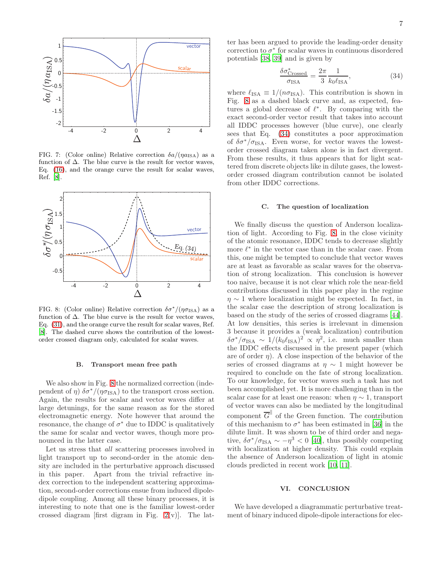

<span id="page-6-1"></span>FIG. 7: (Color online) Relative correction  $\delta a/(\eta a_{\rm ISA})$  as a function of  $\Delta$ . The blue curve is the result for vector waves, Eq. [\(16\)](#page-2-7), and the orange curve the result for scalar waves, Ref. [\[8](#page-11-6)].



<span id="page-6-2"></span>FIG. 8: (Color online) Relative correction  $\delta \sigma^* / (\eta \sigma_{\text{ISA}})$  as a function of  $\Delta$ . The blue curve is the result for vector waves, Eq. [\(31\)](#page-5-3), and the orange curve the result for scalar waves, Ref. [\[8](#page-11-6)]. The dashed curve shows the contribution of the lowestorder crossed diagram only, calculated for scalar waves.

#### B. Transport mean free path

We also show in Fig. [8](#page-6-2) the normalized correction (independent of  $\eta$ )  $\delta \sigma^* / (\eta \sigma_{\text{ISA}})$  to the transport cross section. Again, the results for scalar and vector waves differ at large detunings, for the same reason as for the stored electromagnetic energy. Note however that around the resonance, the change of  $\sigma^*$  due to IDDC is qualitatively the same for scalar and vector waves, though more pronounced in the latter case.

Let us stress that all scattering processes involved in light transport up to second-order in the atomic density are included in the perturbative approach discussed in this paper. Apart from the trivial refractive index correction to the independent scattering approximation, second-order corrections ensue from induced dipoledipole coupling. Among all these binary processes, it is interesting to note that one is the familiar lowest-order crossed diagram [first digram in Fig. [2\(](#page-2-1)v)]. The lat-

ter has been argued to provide the leading-order density correction to  $\sigma^*$  for scalar waves in continuous disordered potentials [\[38,](#page-12-22) [39\]](#page-12-23) and is given by

<span id="page-6-3"></span>
$$
\frac{\delta \sigma_{\text{Crossed}}^*}{\sigma_{\text{ISA}}} = \frac{2\pi}{3} \frac{1}{k_0 \ell_{\text{ISA}}},\tag{34}
$$

where  $\ell_{\text{ISA}} \equiv 1/(n\sigma_{\text{ISA}})$ . This contribution is shown in Fig. [8](#page-6-2) as a dashed black curve and, as expected, features a global decrease of  $\ell^*$ . By comparing with the exact second-order vector result that takes into account all IDDC processes however (blue curve), one clearly sees that Eq. [\(34\)](#page-6-3) constitutes a poor approximation of  $\delta\sigma^*/\sigma_{\text{ISA}}$ . Even worse, for vector waves the lowestorder crossed diagram taken alone is in fact divergent. From these results, it thus appears that for light scattered from discrete objects like in dilute gases, the lowestorder crossed diagram contribution cannot be isolated from other IDDC corrections.

### <span id="page-6-0"></span>C. The question of localization

We finally discuss the question of Anderson localization of light. According to Fig. [8,](#page-6-2) in the close vicinity of the atomic resonance, IDDC tends to decrease slightly more  $\ell^*$  in the vector case than in the scalar case. From this, one might be tempted to conclude that vector waves are at least as favorable as scalar waves for the observation of strong localization. This conclusion is however too naive, because it is not clear which role the near-field contributions discussed in this paper play in the regime  $\eta \sim 1$  where localization might be expected. In fact, in the scalar case the description of strong localization is based on the study of the series of crossed diagrams [\[44\]](#page-12-24). At low densities, this series is irrelevant in dimension 3 because it provides a (weak localization) contribution  $\delta\sigma^*/\sigma_{\text{ISA}} \sim 1/(k_0\ell_{\text{ISA}})^2 \propto \eta^2$ , i.e. much smaller than the IDDC effects discussed in the present paper (which are of order  $\eta$ ). A close inspection of the behavior of the series of crossed diagrams at  $\eta \sim 1$  might however be required to conclude on the fate of strong localization. To our knowledge, for vector waves such a task has not been accomplished yet. It is more challenging than in the scalar case for at least one reason: when  $\eta \sim 1$ , transport of vector waves can also be mediated by the longitudinal component  $\overline{G}^{\parallel}$  of the Green function. The contribution of this mechanism to  $\sigma^*$  has been estimated in [\[36\]](#page-12-20) in the dilute limit. It was shown to be of third order and negative,  $\delta \sigma^* / \sigma_{\text{ISA}} \sim -\eta^3 < 0$  [\[40\]](#page-12-25), thus possibly competing with localization at higher density. This could explain the absence of Anderson localization of light in atomic clouds predicted in recent work [\[10,](#page-11-8) [11\]](#page-11-9).

## VI. CONCLUSION

We have developed a diagrammatic perturbative treatment of binary induced dipole-dipole interactions for elec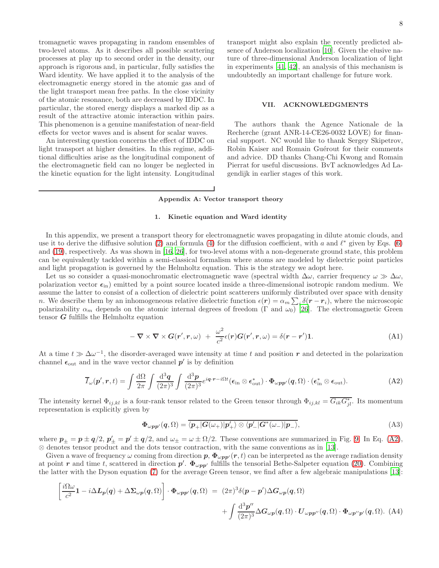tromagnetic waves propagating in random ensembles of two-level atoms. As it describes all possible scattering processes at play up to second order in the density, our approach is rigorous and, in particular, fully satisfies the Ward identity. We have applied it to the analysis of the electromagnetic energy stored in the atomic gas and of the light transport mean free paths. In the close vicinity of the atomic resonance, both are decreased by IDDC. In particular, the stored energy displays a marked dip as a result of the attractive atomic interaction within pairs. This phenomenon is a genuine manifestation of near-field effects for vector waves and is absent for scalar waves.

An interesting question concerns the effect of IDDC on light transport at higher densities. In this regime, additional difficulties arise as the longitudinal component of the electromagnetic field can no longer be neglected in the kinetic equation for the light intensity. Longitudinal

transport might also explain the recently predicted absence of Anderson localization [\[10](#page-11-8)]. Given the elusive nature of three-dimensional Anderson localization of light in experiments [\[41](#page-12-26), [42](#page-12-27)], an analysis of this mechanism is undoubtedly an important challenge for future work.

### VII. ACKNOWLEDGMENTS

The authors thank the Agence Nationale de la Recherche (grant ANR-14-CE26-0032 LOVE) for financial support. NC would like to thank Sergey Skipetrov, Robin Kaiser and Romain Guérout for their comments and advice. DD thanks Chang-Chi Kwong and Romain Pierrat for useful discussions. BvT acknowledges Ad Lagendijk in earlier stages of this work.

# <span id="page-7-0"></span>Appendix A: Vector transport theory

# 1. Kinetic equation and Ward identity

In this appendix, we present a transport theory for electromagnetic waves propagating in dilute atomic clouds, and use it to derive the diffusive solution [\(2\)](#page-1-1) and formula [\(4\)](#page-1-5) for the diffusion coefficient, with a and  $\ell^*$  given by Eqs. [\(6\)](#page-1-2) and [\(19\)](#page-4-2), respectively. As was shown in [\[16,](#page-12-18) [26\]](#page-12-9), for two-level atoms with a non-degenerate ground state, this problem can be equivalently tackled within a semi-classical formalism where atoms are modeled by dielectric point particles and light propagation is governed by the Helmholtz equation. This is the strategy we adopt here.

Let us so consider a quasi-monochromatic electromagnetic wave (spectral width  $\Delta\omega$ , carrier frequency  $\omega \gg \Delta\omega$ , polarization vector  $\epsilon_{\rm in}$ ) emitted by a point source located inside a three-dimensional isotropic random medium. We assume the latter to consist of a collection of dielectric point scatterers uniformly distributed over space with density n. We describe them by an inhomogeneous relative dielectric function  $\epsilon(\mathbf{r}) = \alpha_m \sum_i \delta(\mathbf{r} - \mathbf{r}_i)$ , where the microscopic polarizability  $\alpha_m$  depends on the atomic internal degrees of freedom (Γ and  $\omega_0$ ) [\[26\]](#page-12-9). The electromagnetic Green tensor  $G$  fulfills the Helmholtz equation

$$
-\nabla \times \nabla \times G(r',r,\omega) + \frac{\omega^2}{c^2} \epsilon(r) G(r',r,\omega) = \delta(r-r')\mathbf{1}.
$$
 (A1)

At a time  $t \gg \Delta\omega^{-1}$ , the disorder-averaged wave intensity at time t and position r and detected in the polarization channel  $\epsilon_{\text{out}}$  and in the wave vector channel  $p'$  is by definition

<span id="page-7-1"></span>
$$
\overline{I}_{\omega}(\boldsymbol{p}',\boldsymbol{r},t) = \int \frac{\mathrm{d}\Omega}{2\pi} \int \frac{\mathrm{d}^3 \boldsymbol{q}}{(2\pi)^3} \int \frac{\mathrm{d}^3 \boldsymbol{p}}{(2\pi)^3} e^{i\boldsymbol{q}\cdot\boldsymbol{r} - i\Omega t} (\boldsymbol{\epsilon}_{\text{in}} \otimes \boldsymbol{\epsilon}_{\text{out}}^*) \cdot \boldsymbol{\Phi}_{\omega\boldsymbol{p}\boldsymbol{p}'}(\boldsymbol{q},\Omega) \cdot (\boldsymbol{\epsilon}_{\text{in}}^* \otimes \boldsymbol{\epsilon}_{\text{out}}).
$$
(A2)

The intensity kernel  $\Phi_{ij,kl}$  is a four-rank tensor related to the Green tensor through  $\Phi_{ij,kl} = \overline{G_{ik}G_{jl}^*}$ . Its momentum representation is explicitly given by

$$
\Phi_{\omega pp'}(q,\Omega) = \overline{\langle p_+|G(\omega_+)|p_+^{\prime}\rangle \otimes \langle p_-^{\prime}|G^*(\omega_-)|p_-\rangle},\tag{A3}
$$

where  $p_{\pm} = p \pm q/2$ ,  $p'_{\pm} = p' \pm q/2$ , and  $\omega_{\pm} = \omega \pm \Omega/2$ . These conventions are summarized in Fig. [9.](#page-8-0) In Eq. [\(A2\)](#page-7-1), ⊗ denotes tensor product and the dots tensor contraction, with the same conventions as in [\[13\]](#page-12-0).

Given a wave of frequency  $\omega$  coming from direction  $p$ ,  $\Phi_{\omega pp'}(r,t)$  can be interpreted as the average radiation density at point r and time t, scattered in direction  $p'$ .  $\Phi_{\omega pp'}$  fulfills the tensorial Bethe-Salpeter equation [\(20\)](#page-4-9). Combining the latter with the Dyson equation [\(7\)](#page-1-3) for the average Green tensor, we find after a few algebraic manipulations [\[13\]](#page-12-0):

<span id="page-7-2"></span>
$$
\left[\frac{i\Omega\omega}{c^2}\mathbf{1} - i\Delta L_p(q) + \Delta \Sigma_{\omega p}(q,\Omega)\right] \cdot \Phi_{\omega pp'}(q,\Omega) = (2\pi)^3 \delta(p-p')\Delta G_{\omega p}(q,\Omega)
$$

$$
+ \int \frac{\mathrm{d}^3 p''}{(2\pi)^3} \Delta G_{\omega p}(q,\Omega) \cdot U_{\omega pp''}(q,\Omega) \cdot \Phi_{\omega p''p'}(q,\Omega). \quad (A4)
$$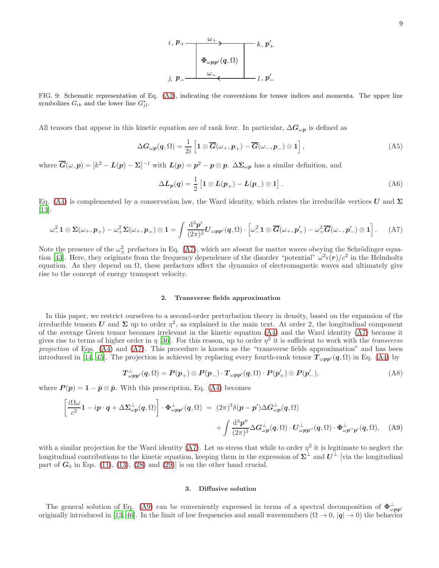<span id="page-8-0"></span>FIG. 9: Schematic representation of Eq. [\(A2\)](#page-7-1), indicating the conventions for tensor indices and momenta. The upper line symbolizes  $G_{ik}$  and the lower line  $G_{jl}^*$ .

All tensors that appear in this kinetic equation are of rank four. In particular,  $\Delta G_{\omega p}$  is defined as

$$
\Delta G_{\omega p}(q,\Omega) = \frac{1}{2i} \left[ 1 \otimes \overline{G}(\omega_+, p_+) - \overline{G}(\omega_-, p_-) \otimes 1 \right],
$$
\n(A5)

where  $\overline{G}(\omega, p) = [k^2 - L(p) - \Sigma]^{-1}$  with  $L(p) = p^2 - p \otimes p$ .  $\Delta \Sigma_{\omega p}$  has a similar definition, and

$$
\Delta L_p(q) = \frac{1}{2} \left[ 1 \otimes L(p_+) - L(p_-) \otimes 1 \right]. \tag{A6}
$$

Eq. [\(A4\)](#page-7-2) is complemented by a conservation law, the Ward identity, which relates the irreducible vertices U and  $\Sigma$ [\[13\]](#page-12-0):

<span id="page-8-1"></span>
$$
\omega_-^2 \mathbf{1} \otimes \mathbf{\Sigma}(\omega_+, \mathbf{p}_+) - \omega_+^2 \mathbf{\Sigma}(\omega_+, \mathbf{p}_+) \otimes \mathbf{1} = \int \frac{\mathrm{d}^3 \mathbf{p}'}{(2\pi)^3} \mathbf{U}_{\omega \mathbf{p} \mathbf{p}'}(\mathbf{q}, \Omega) \cdot \left[ \omega_-^2 \mathbf{1} \otimes \overline{\mathbf{G}}(\omega_+, \mathbf{p}'_+) - \omega_+^2 \overline{\mathbf{G}}(\omega_-, \mathbf{p}'_-) \otimes \mathbf{1} \right]. \tag{A7}
$$

Note the presence of the  $\omega_{\pm}^2$  prefactors in Eq. [\(A7\)](#page-8-1), which are absent for matter waves obeying the Schrödinger equa-tion [\[43\]](#page-12-28). Here, they originate from the frequency dependence of the disorder "potential"  $\omega^2 \epsilon(r) / c^2$  in the Helmholtz equation. As they depend on  $\Omega$ , these prefactors affect the dynamics of electromagnetic waves and ultimately give rise to the concept of energy transport velocity.

### 2. Transverse fields approximation

In this paper, we restrict ourselves to a second-order perturbation theory in density, based on the expansion of the irreducible tensors U and  $\Sigma$  up to order  $\eta^2$ , as explained in the main text. At order 2, the longitudinal component of the average Green tensor becomes irrelevant in the kinetic equation [\(A4\)](#page-7-2) and the Ward identity [\(A7\)](#page-8-1) because it gives rise to terms of higher order in  $\eta$  [\[36\]](#page-12-20). For this reason, up to order  $\eta^2$  it is sufficient to work with the *transverse* projection of Eqs. [\(A4\)](#page-7-2) and [\(A7\)](#page-8-1). This procedure is known as the "transverse fields approximation" and has been introduced in [\[14](#page-12-1), [45](#page-12-29)]. The projection is achieved by replacing every fourth-rank tensor  $T_{\omega pp'}(q,\Omega)$  in Eq. [\(A4\)](#page-7-2) by

$$
T^{\perp}_{\omega pp'}(q,\Omega) = P(p_+) \otimes P(p_-) \cdot T_{\omega pp'}(q,\Omega) \cdot P(p'_+) \otimes P(p'_-), \tag{A8}
$$

where  $P(p) = 1 - \hat{p} \otimes \hat{p}$ . With this prescription, Eq. [\(A4\)](#page-7-2) becomes

<span id="page-8-2"></span>
$$
\left[\frac{i\Omega\omega}{c^2}\mathbf{1}-i\mathbf{p}\cdot\mathbf{q}+\Delta\Sigma_{\omega\mathbf{p}}^{\perp}(\mathbf{q},\Omega)\right]\cdot\Phi_{\omega\mathbf{p}\mathbf{p}'}^{\perp}(\mathbf{q},\Omega)=(2\pi)^3\delta(\mathbf{p}-\mathbf{p}')\Delta G_{\omega\mathbf{p}}^{\perp}(\mathbf{q},\Omega)
$$

$$
+\int\frac{\mathrm{d}^3\mathbf{p}''}{(2\pi)^3}\Delta G_{\omega\mathbf{p}}^{\perp}(\mathbf{q},\Omega)\cdot\mathbf{U}_{\omega\mathbf{p}\mathbf{p}''}^{\perp}(\mathbf{q},\Omega)\cdot\Phi_{\omega\mathbf{p}''\mathbf{p}'}^{\perp}(\mathbf{q},\Omega),\quad\text{(A9)}
$$

with a similar projection for the Ward identity [\(A7\)](#page-8-1). Let us stress that while to order  $\eta^2$  it is legitimate to neglect the longitudinal contributions to the kinetic equation, keeping them in the expression of  $\Sigma^\perp$  and  $U^\perp$  [via the longitudinal part of  $G_0$  in Eqs. [\(11\)](#page-2-5), [\(13\)](#page-2-6), [\(28\)](#page-4-7) and [\(29\)](#page-4-8)] is on the other hand crucial.

# 3. Diffusive solution

The general solution of Eq. [\(A9\)](#page-8-2) can be conveniently expressed in terms of a spectral decomposition of  $\Phi_{\omega pp}^{\perp}$ originally introduced in [\[13,](#page-12-0) [46](#page-12-30)]. In the limit of low frequencies and small wavenumbers  $(\Omega \to 0, |\mathbf{q}| \to 0)$  the behavior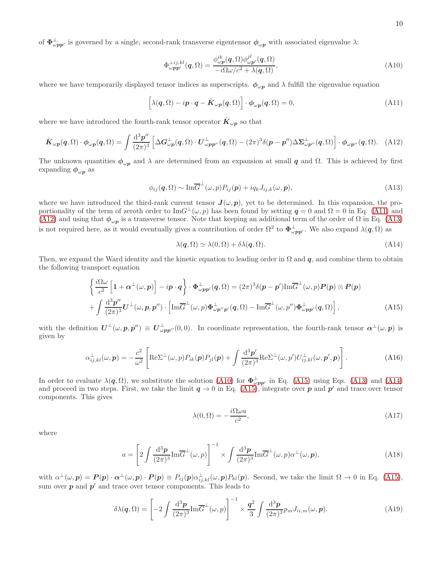of  $\Phi_{\omega pp'}^{\perp}$  is governed by a single, second-rank transverse eigentensor  $\phi_{\omega p}$  with associated eigenvalue  $\lambda$ :

<span id="page-9-3"></span>
$$
\Phi_{\omega\mathbf{p}\mathbf{p'}}^{\perp ij,kl}(\mathbf{q},\Omega) = \frac{\phi_{\omega\mathbf{p}}^{ik}(\mathbf{q},\Omega)\phi_{\omega\mathbf{p'}}^{jl}(\mathbf{q},\Omega)}{-i\Omega\omega/c^2 + \lambda(\mathbf{q},\Omega)},\tag{A10}
$$

where we have temporarily displayed tensor indices as superscripts.  $\phi_{\omega p}$  and  $\lambda$  fulfill the eigenvalue equation

<span id="page-9-0"></span>
$$
\left[\lambda(q,\Omega) - ip \cdot q - \hat{K}_{\omega p}(q,\Omega)\right] \cdot \phi_{\omega p}(q,\Omega) = 0, \tag{A11}
$$

where we have introduced the fourth-rank tensor operator  $\hat{K}_{\omega \bm{p}}$  so that

<span id="page-9-1"></span>
$$
\hat{\boldsymbol{K}}_{\omega p}(\boldsymbol{q},\Omega) \cdot \boldsymbol{\phi}_{\omega p}(\boldsymbol{q},\Omega) = \int \frac{\mathrm{d}^3 p''}{(2\pi)^3} \left[ \Delta \boldsymbol{G}_{\omega p}^\perp(\boldsymbol{q},\Omega) \cdot \boldsymbol{U}_{\omega pp''}^\perp(\boldsymbol{q},\Omega) - (2\pi)^3 \delta(\boldsymbol{p} - \boldsymbol{p''}) \Delta \boldsymbol{\Sigma}_{\omega p''}^\perp(\boldsymbol{q},\Omega) \right] \cdot \boldsymbol{\phi}_{\omega p''}(\boldsymbol{q},\Omega). \tag{A12}
$$

The unknown quantities  $\phi_{\omega p}$  and  $\lambda$  are determined from an expansion at small q and  $\Omega$ . This is achieved by first expanding  $\phi_{\omega p}$  as

<span id="page-9-2"></span>
$$
\phi_{ij}(\mathbf{q},\Omega) \sim \text{Im}\overline{G}^{\perp}(\omega,p)P_{ij}(\mathbf{p}) + iq_kJ_{ij,k}(\omega,\mathbf{p}),\tag{A13}
$$

where we have introduced the third-rank current tensor  $J(\omega, p)$ , yet to be determined. In this expansion, the proportionality of the term of zeroth order to  $\text{Im}G^{\perp}(\omega, p)$  has been found by setting  $q = 0$  and  $\Omega = 0$  in Eq. [\(A11\)](#page-9-0) and [\(A12\)](#page-9-1) and using that  $\phi_{\omega p}$  is a transverse tensor. Note that keeping an additional term of the order of  $\Omega$  in Eq. [\(A13\)](#page-9-2) is not required here, as it would eventually gives a contribution of order  $\Omega^2$  to  $\Phi_{\omega pp'}^{\perp}$ . We also expand  $\lambda(q,\Omega)$  as

<span id="page-9-5"></span>
$$
\lambda(\mathbf{q},\Omega) \simeq \lambda(0,\Omega) + \delta\lambda(\mathbf{q},\Omega). \tag{A14}
$$

Then, we expand the Ward identity and the kinetic equation to leading order in  $\Omega$  and q, and combine them to obtain the following transport equation

<span id="page-9-4"></span>
$$
\begin{cases}\n\frac{i\Omega\omega}{c^2} \left[ 1 + \alpha^{\perp}(\omega, p) \right] - i p \cdot q\n\end{cases}\n\cdot \Phi_{\omega pp'}^{\perp}(q, \Omega) = (2\pi)^3 \delta(p - p') \text{Im}\overline{G}^{\perp}(\omega, p) P(p) \otimes P(p) \\
+ \int \frac{d^3 p''}{(2\pi)^3} U^{\perp}(\omega, p, p'') \cdot \left[ \text{Im}\overline{G}^{\perp}(\omega, p) \Phi_{\omega p''p'}^{\perp}(q, \Omega) - \text{Im}\overline{G}^{\perp}(\omega, p'') \Phi_{\omega pp'}^{\perp}(q, \Omega) \right],\n\tag{A15}
$$

with the definition  $U^{\perp}(\omega, p, p'') \equiv U^{\perp}_{\omega pp''}(0,0)$ . In coordinate representation, the fourth-rank tensor  $\alpha^{\perp}(\omega, p)$  is given by

<span id="page-9-9"></span>
$$
\alpha_{ij,kl}^{\perp}(\omega,\mathbf{p}) = -\frac{c^2}{\omega^2} \left[ \text{Re}\Sigma^{\perp}(\omega,p) P_{ik}(\mathbf{p}) P_{jl}(\mathbf{p}) + \int \frac{\mathrm{d}^3 \mathbf{p}'}{(2\pi)^3} \text{Re}\Sigma^{\perp}(\omega,p') U_{ij,kl}^{\perp}(\omega,\mathbf{p}',\mathbf{p}) \right]. \tag{A16}
$$

In order to evaluate  $\lambda(q,\Omega)$ , we substitute the solution [\(A10\)](#page-9-3) for  $\Phi_{\omega pp'}^{\perp}$  in Eq. [\(A15\)](#page-9-4) using Eqs. [\(A13\)](#page-9-2) and [\(A14\)](#page-9-5) and proceed in two steps. First, we take the limit  $q \to 0$  in Eq. [\(A15\)](#page-9-4), integrate over p and p' and trace over tensor components. This gives

<span id="page-9-6"></span>
$$
\lambda(0,\Omega) = -\frac{i\Omega\omega a}{c^2},\tag{A17}
$$

where

<span id="page-9-8"></span>
$$
a = \left[2\int \frac{\mathrm{d}^3 p}{(2\pi)^3} \mathrm{Im}\overline{G}^{\perp}(\omega, p)\right]^{-1} \times \int \frac{\mathrm{d}^3 p}{(2\pi)^3} \mathrm{Im}\overline{G}^{\perp}(\omega, p)\alpha^{\perp}(\omega, p),\tag{A18}
$$

with  $\alpha^{\perp}(\omega, p) = P(p) \cdot \alpha^{\perp}(\omega, p) \cdot P(p) \equiv P_{ij}(p) \alpha^{\perp}_{ij, kl}(\omega, p) P_{kl}(p)$ . Second, we take the limit  $\Omega \to 0$  in Eq. [\(A15\)](#page-9-4), sum over  $p$  and  $p'$  and trace over tensor components. This leads to

<span id="page-9-7"></span>
$$
\delta\lambda(\mathbf{q},\Omega) = \left[ -2 \int \frac{\mathrm{d}^3 \mathbf{p}}{(2\pi)^3} \mathrm{Im}\overline{G}^{\perp}(\omega,p) \right]^{-1} \times \frac{\mathbf{q}^2}{3} \int \frac{\mathrm{d}^3 \mathbf{p}}{(2\pi)^3} p_m J_{ii,m}(\omega,\mathbf{p}). \tag{A19}
$$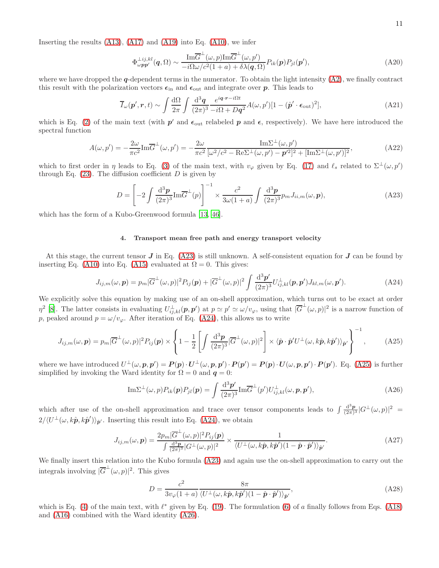Inserting the results  $(A13)$ ,  $(A17)$  and  $(A19)$  into Eq.  $(A10)$ , we infer

$$
\Phi_{\omega pp'}^{\perp ij,kl}(\mathbf{q},\Omega) \sim \frac{\mathrm{Im}\overline{G}^{\perp}(\omega,p)\mathrm{Im}\overline{G}^{\perp}(\omega,p')}{-i\Omega\omega/c^2(1+a)+\delta\lambda(\mathbf{q},\Omega)}P_{ik}(\mathbf{p})P_{jl}(\mathbf{p}'),\tag{A20}
$$

where we have dropped the  $q$ -dependent terms in the numerator. To obtain the light intensity  $(A2)$ , we finally contract this result with the polarization vectors  $\epsilon_{\rm in}$  and  $\epsilon_{\rm out}$  and integrate over p. This leads to

$$
\overline{I}_{\omega}(\boldsymbol{p}',\boldsymbol{r},t) \sim \int \frac{\mathrm{d}\Omega}{2\pi} \int \frac{\mathrm{d}^3 \boldsymbol{q}}{(2\pi)^3} \frac{e^{i\boldsymbol{q}\cdot\boldsymbol{r}-i\Omega t}}{-i\Omega + D\boldsymbol{q}^2} A(\omega, p')[1-(\hat{\boldsymbol{p}}'\cdot\boldsymbol{\epsilon}_{\text{out}})^2],\tag{A21}
$$

which is Eq. [\(2\)](#page-1-1) of the main text (with  $p'$  and  $\epsilon_{\text{out}}$  relabeled p and  $\epsilon$ , respectively). We have here introduced the spectral function

$$
A(\omega, p') = -\frac{2\omega}{\pi c^2} \text{Im}\overline{G}^{\perp}(\omega, p') = -\frac{2\omega}{\pi c^2} \frac{\text{Im}\Sigma^{\perp}(\omega, p')}{[\omega^2/c^2 - \text{Re}\Sigma^{\perp}(\omega, p') - p'^2]^2 + [\text{Im}\Sigma^{\perp}(\omega, p')]^2},\tag{A22}
$$

which to first order in  $\eta$  leads to Eq. [\(3\)](#page-1-6) of the main text, with  $v_{\varphi}$  given by Eq. [\(17\)](#page-3-0) and  $\ell_s$  related to  $\Sigma^{\perp}(\omega, p')$ through Eq.  $(23)$ . The diffusion coefficient D is given by

<span id="page-10-0"></span>
$$
D = \left[ -2 \int \frac{\mathrm{d}^3 p}{(2\pi)^3} \mathrm{Im}\overline{G}^\perp(p) \right]^{-1} \times \frac{c^2}{3\omega(1+a)} \int \frac{\mathrm{d}^3 p}{(2\pi)^3} p_m J_{ii,m}(\omega, \mathbf{p}), \tag{A23}
$$

which has the form of a Kubo-Greenwood formula [\[13,](#page-12-0) [46\]](#page-12-30).

## 4. Transport mean free path and energy transport velocity

At this stage, the current tensor  $J$  in Eq. [\(A23\)](#page-10-0) is still unknown. A self-consistent equation for  $J$  can be found by inserting Eq. [\(A10\)](#page-9-3) into Eq. [\(A15\)](#page-9-4) evaluated at  $\Omega = 0$ . This gives:

<span id="page-10-1"></span>
$$
J_{ij,m}(\omega,\mathbf{p}) = p_m |\overline{G}^{\perp}(\omega,p)|^2 P_{ij}(\mathbf{p}) + |\overline{G}^{\perp}(\omega,p)|^2 \int \frac{\mathrm{d}^3 \mathbf{p}'}{(2\pi)^3} U_{ij,kl}^{\perp}(\mathbf{p},\mathbf{p}') J_{kl,m}(\omega,\mathbf{p}'). \tag{A24}
$$

We explicitly solve this equation by making use of an on-shell approximation, which turns out to be exact at order  $\eta^2$  [\[8\]](#page-11-6). The latter consists in evaluating  $U_{ij,kl}^{\perp}(\boldsymbol{p},\boldsymbol{p}')$  at  $p \simeq p' \simeq \omega/v_\varphi$ , using that  $|\overline{G}^{\perp}(\omega,p)|^2$  is a narrow function of p, peaked around  $p = \omega/v_{\varphi}$ . After iteration of Eq. [\(A24\)](#page-10-1), this allows us to write

<span id="page-10-2"></span>
$$
J_{ij,m}(\omega,\mathbf{p}) = p_m |\overline{G}^{\perp}(\omega,p)|^2 P_{ij}(\mathbf{p}) \times \left\{ 1 - \frac{1}{2} \left[ \int \frac{\mathrm{d}^3 \mathbf{p}}{(2\pi)^3} |\overline{G}^{\perp}(\omega,p)|^2 \right] \times \langle \hat{\mathbf{p}} \cdot \hat{\mathbf{p}}' U^{\perp}(\omega,k\hat{\mathbf{p}},k\hat{\mathbf{p}}') \rangle_{\hat{\mathbf{p}}'} \right\}^{-1},\tag{A25}
$$

where we have introduced  $U^{\perp}(\omega, p, p') = P(p) \cdot U^{\perp}(\omega, p, p') \cdot P(p') = P(p) \cdot U(\omega, p, p') \cdot P(p')$ . Eq. [\(A25\)](#page-10-2) is further simplified by invoking the Ward identity for  $\Omega = 0$  and  $q = 0$ :

<span id="page-10-3"></span>
$$
\mathrm{Im}\Sigma^{\perp}(\omega,p)P_{ik}(\boldsymbol{p})P_{jl}(\boldsymbol{p}) = \int \frac{\mathrm{d}^3\boldsymbol{p}'}{(2\pi)^3} \mathrm{Im}\overline{G}^{\perp}(p')U^{\perp}_{ij,kl}(\omega,\boldsymbol{p},\boldsymbol{p}'), \tag{A26}
$$

which after use of the on-shell approximation and trace over tensor components leads to  $\int \frac{d^3p}{(2\pi)^3} |G^{\perp}(\omega, p)|^2$  $2/\langle U^{\perp}(\omega,k\hat{p},k\hat{p}')\rangle_{\hat{p}'}$ . Inserting this result into Eq. [\(A24\)](#page-10-1), we obtain

$$
J_{ij,m}(\omega,\mathbf{p}) = \frac{2p_m|\overline{G}^{\perp}(\omega,p)|^2 P_{ij}(\mathbf{p})}{\int \frac{\mathrm{d}^3\mathbf{p}}{(2\pi)^3}|G^{\perp}(\omega,p)|^2} \times \frac{1}{\langle U^{\perp}(\omega,k\hat{\mathbf{p}},k\hat{\mathbf{p}}')(1-\hat{\mathbf{p}}\cdot\hat{\mathbf{p}}')\rangle_{\hat{\mathbf{p}}'}}.
$$
(A27)

We finally insert this relation into the Kubo formula  $(A23)$  and again use the on-shell approximation to carry out the integrals involving  $|\overline{G}^{\perp}(\omega,p)|^2$ . This gives

$$
D = \frac{c^2}{3v_{\varphi}(1+a)} \frac{8\pi}{\langle U^{\perp}(\omega, k\hat{\boldsymbol{p}}, k\hat{\boldsymbol{p}}') (1-\hat{\boldsymbol{p}} \cdot \hat{\boldsymbol{p}}') \rangle_{\hat{\boldsymbol{p}}'}}
$$
\n(A28)

which is Eq. [\(4\)](#page-1-5) of the main text, with  $\ell^*$  given by Eq. [\(19\)](#page-4-2). The formulation [\(6\)](#page-1-2) of a finally follows from Eqs. [\(A18\)](#page-9-8) and [\(A16\)](#page-9-9) combined with the Ward identity [\(A26\)](#page-10-3).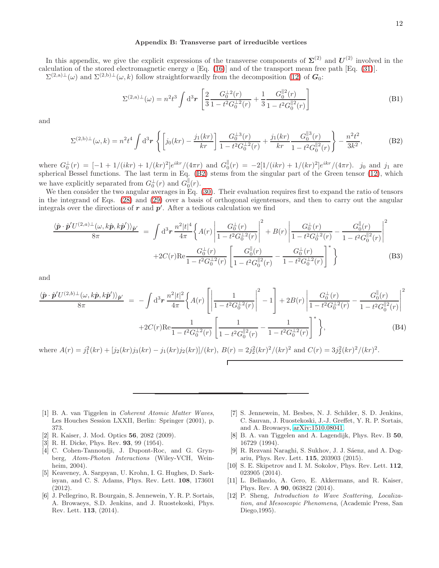# <span id="page-11-10"></span>Appendix B: Transverse part of irreducible vertices

In this appendix, we give the explicit expressions of the transverse components of  $\Sigma^{(2)}$  and  $U^{(2)}$  involved in the calculation of the stored electromagnetic energy a [Eq. [\(16\)](#page-2-7)] and of the transport mean free path [Eq. [\(31\)](#page-5-3)].  $\Sigma^{(2,a)\perp}(\omega)$  and  $\Sigma^{(2,b)\perp}(\omega,k)$  follow straightforwardly from the decomposition [\(12\)](#page-2-2) of  $G_0$ :

$$
\Sigma^{(2,a)\perp}(\omega) = n^2 t^3 \int d^3 r \left[ \frac{2}{3} \frac{G_0^{\perp 2}(r)}{1 - t^2 G_0^{\perp 2}(r)} + \frac{1}{3} \frac{G_0^{\parallel 2}(r)}{1 - t^2 G_0^{\parallel 2}(r)} \right]
$$
(B1)

and

<span id="page-11-12"></span>
$$
\Sigma^{(2,b)\perp}(\omega,k) = n^2 t^4 \int d^3 r \left\{ \left[ j_0(kr) - \frac{j_1(kr)}{kr} \right] \frac{G_0^{\perp 3}(r)}{1 - t^2 G_0^{\perp 2}(r)} + \frac{j_1(kr)}{kr} \frac{G_0^{\parallel 3}(r)}{1 - t^2 G_0^{\parallel 2}(r)} \right\} - \frac{n^2 t^2}{3k^2},\tag{B2}
$$

where  $G_0^{\perp}(r) = [-1 + 1/(ikr) + 1/(kr)^2]e^{ikr}/(4\pi r)$  and  $G_0^{\parallel}(r) = -2[1/(ikr) + 1/(kr)^2]e^{ikr}/(4\pi r)$ . jo and j<sub>1</sub> are spherical Bessel functions. The last term in Eq. [\(B2\)](#page-11-12) stems from the singular part of the Green tensor [\(12\)](#page-2-2), which we have explicitly separated from  $G_0^{\perp}(r)$  and  $G_0^{\parallel}(r)$ .

We then consider the two angular averages in Eq.  $(30)$ . Their evaluation requires first to expand the ratio of tensors in the integrand of Eqs. [\(28\)](#page-4-7) and [\(29\)](#page-4-8) over a basis of orthogonal eigentensors, and then to carry out the angular integrals over the directions of  $r$  and  $p'$ . After a tedious calculation we find

$$
\frac{\langle \hat{\mathbf{p}} \cdot \hat{\mathbf{p}}' U^{(2,a)\perp}(\omega, k\hat{\mathbf{p}}, k\hat{\mathbf{p}}') \rangle_{\hat{\mathbf{p}}'}}{8\pi} = \int d^3 r \frac{n^2 |t|^4}{4\pi} \Big\{ A(r) \left| \frac{G_0^{\perp}(r)}{1 - t^2 G_0^{\perp 2}(r)} \right|^2 + B(r) \left| \frac{G_0^{\perp}(r)}{1 - t^2 G_0^{\perp 2}(r)} - \frac{G_0^{\parallel}(r)}{1 - t^2 G_0^{\parallel 2}(r)} \right|^2
$$
  
+2C(r)Re $\frac{G_0^{\perp}(r)}{1 - t^2 G_0^{\perp 2}(r)} \left[ \frac{G_0^{\parallel}(r)}{1 - t^2 G_0^{\parallel 2}(r)} - \frac{G_0^{\perp}(r)}{1 - t^2 G_0^{\perp 2}(r)} \right]^*$  (B3)

and

$$
\frac{\langle \hat{\mathbf{p}} \cdot \hat{\mathbf{p}}' U^{(2,b)\perp}(\omega, k\hat{\mathbf{p}}, k\hat{\mathbf{p}}') \rangle_{\hat{\mathbf{p}}'}}{8\pi} = -\int d^3 \mathbf{r} \frac{n^2 |t|^2}{4\pi} \left\{ A(r) \left[ \left| \frac{1}{1 - t^2 G_0^{\perp 2}(r)} \right|^2 - 1 \right] + 2B(r) \left| \frac{G_0^{\perp}(r)}{1 - t^2 G_0^{\perp 2}(r)} - \frac{G_0^{\parallel}(r)}{1 - t^2 G_0^{\parallel 2}(r)} \right|^2 \right. \\ \left. + 2C(r) \text{Re} \frac{1}{1 - t^2 G_0^{\perp 2}(r)} \left[ \frac{1}{1 - t^2 G_0^{\parallel 2}(r)} - \frac{1}{1 - t^2 G_0^{\perp 2}(r)} \right]^* \right\}, \tag{B4}
$$

where  $A(r) = j_1^2(kr) + [j_2(kr)j_3(kr) - j_1(kr)j_2(kr)]/(kr)$ ,  $B(r) = 2j_2^2(kr)^2/(kr)^2$  and  $C(r) = 3j_2^2(kr)^2/(kr)^2$ .  $\Gamma$ 

- <span id="page-11-0"></span>[1] B. A. van Tiggelen in Coherent Atomic Matter Waves, Les Houches Session LXXII, Berlin: Springer (2001), p. 373.
- <span id="page-11-1"></span>[2] R. Kaiser, J. Mod. Optics 56, 2082 (2009).
- <span id="page-11-2"></span>[3] R. H. Dicke, Phys. Rev. **93**, 99 (1954).
- <span id="page-11-3"></span>[4] C. Cohen-Tannoudji, J. Dupont-Roc, and G. Grynberg, Atom-Photon Interactions (Wiley-VCH, Weinheim, 2004).
- <span id="page-11-4"></span>[5] Keaveney, A. Sargsyan, U. Krohn, I. G. Hughes, D. Sarkisyan, and C. S. Adams, Phys. Rev. Lett. 108, 173601 (2012).
- [6] J. Pellegrino, R. Bourgain, S. Jennewein, Y. R. P. Sortais, A. Browaeys, S.D. Jenkins, and J. Ruostekoski, Phys. Rev. Lett. 113, (2014).
- <span id="page-11-5"></span>[7] S. Jennewein, M. Besbes, N. J. Schilder, S. D. Jenkins, C. Sauvan, J. Ruostekoski, J.-J. Greffet, Y. R. P. Sortais, and A. Browaeys, [arXiv:1510.08041.](http://arxiv.org/abs/1510.08041)
- <span id="page-11-6"></span>[8] B. A. van Tiggelen and A. Lagendijk, Phys. Rev. B 50, 16729 (1994).
- <span id="page-11-7"></span>[9] R. Rezvani Naraghi, S. Sukhov, J. J. Sáenz, and A. Dogariu, Phys. Rev. Lett. 115, 203903 (2015).
- <span id="page-11-8"></span>[10] S. E. Skipetrov and I. M. Sokolov, Phys. Rev. Lett. 112, 023905 (2014).
- <span id="page-11-9"></span>[11] L. Bellando, A. Gero, E. Akkermans, and R. Kaiser, Phys. Rev. A 90, 063822 (2014).
- <span id="page-11-11"></span>[12] P. Sheng, Introduction to Wave Scattering, Localization, and Mesoscopic Phenomena, (Academic Press, San Diego,1995).